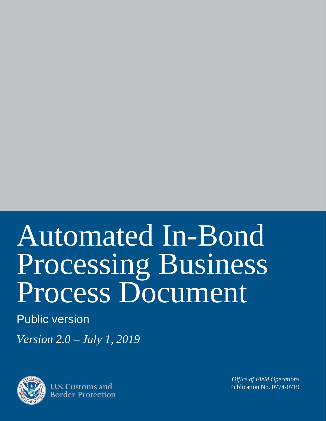# Automated In-Bond Processing Business Process Document

# Public version

*Version 2.0 – July 1, 2019*



U.S. Customs and **Border Protection** 

*Office of Field Operations* Publication No. 0774-0719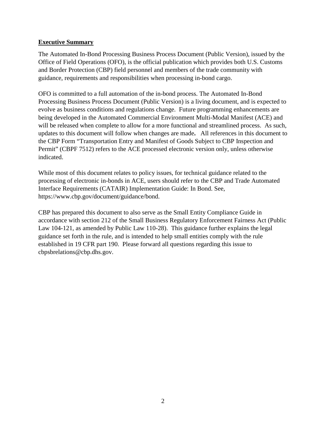#### **Executive Summary**

The Automated In-Bond Processing Business Process Document (Public Version), issued by the Office of Field Operations (OFO), is the official publication which provides both U.S. Customs and Border Protection (CBP) field personnel and members of the trade community with guidance, requirements and responsibilities when processing in-bond cargo.

OFO is committed to a full automation of the in-bond process. The Automated In-Bond Processing Business Process Document (Public Version) is a living document, and is expected to evolve as business conditions and regulations change. Future programming enhancements are being developed in the Automated Commercial Environment Multi-Modal Manifest (ACE) and will be released when complete to allow for a more functional and streamlined process. As such, updates to this document will follow when changes are made**.** All references in this document to the CBP Form "Transportation Entry and Manifest of Goods Subject to CBP Inspection and Permit" (CBPF 7512) refers to the ACE processed electronic version only, unless otherwise indicated.

While most of this document relates to policy issues, for technical guidance related to the processing of electronic in-bonds in ACE, users should refer to the CBP and Trade Automated Interface Requirements (CATAIR) Implementation Guide: In Bond. See, https://www.cbp.gov/document/guidance/bond.

CBP has prepared this document to also serve as the Small Entity Compliance Guide in accordance with section 212 of the Small Business Regulatory Enforcement Fairness Act (Public Law 104-121, as amended by Public Law 110-28). This guidance further explains the legal guidance set forth in the rule, and is intended to help small entities comply with the rule established in 19 CFR part 190. Please forward all questions regarding this issue to cbpsbrelations@cbp.dhs.gov.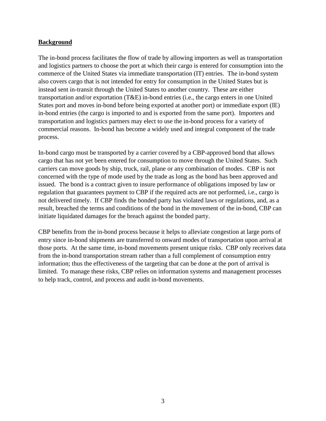#### **Background**

The in-bond process facilitates the flow of trade by allowing importers as well as transportation and logistics partners to choose the port at which their cargo is entered for consumption into the commerce of the United States via immediate transportation (IT) entries. The in-bond system also covers cargo that is not intended for entry for consumption in the United States but is instead sent in-transit through the United States to another country. These are either transportation and/or exportation (T&E) in-bond entries (i.e., the cargo enters in one United States port and moves in-bond before being exported at another port) or immediate export (IE) in-bond entries (the cargo is imported to and is exported from the same port). Importers and transportation and logistics partners may elect to use the in-bond process for a variety of commercial reasons. In-bond has become a widely used and integral component of the trade process.

In-bond cargo must be transported by a carrier covered by a CBP-approved bond that allows cargo that has not yet been entered for consumption to move through the United States. Such carriers can move goods by ship, truck, rail, plane or any combination of modes. CBP is not concerned with the type of mode used by the trade as long as the bond has been approved and issued. The bond is a contract given to insure performance of obligations imposed by law or regulation that guarantees payment to CBP if the required acts are not performed, i.e., cargo is not delivered timely. If CBP finds the bonded party has violated laws or regulations, and, as a result, breached the terms and conditions of the bond in the movement of the in-bond, CBP can initiate liquidated damages for the breach against the bonded party.

CBP benefits from the in-bond process because it helps to alleviate congestion at large ports of entry since in-bond shipments are transferred to onward modes of transportation upon arrival at those ports. At the same time, in-bond movements present unique risks. CBP only receives data from the in-bond transportation stream rather than a full complement of consumption entry information; thus the effectiveness of the targeting that can be done at the port of arrival is limited. To manage these risks, CBP relies on information systems and management processes to help track, control, and process and audit in-bond movements.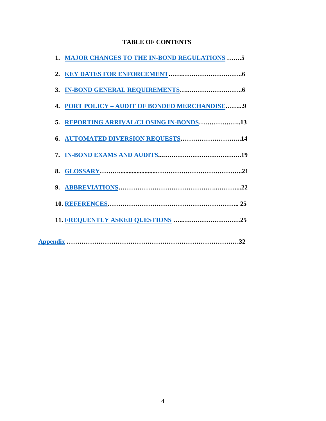#### **TABLE OF CONTENTS**

| 1. MAJOR CHANGES TO THE IN-BOND REGULATIONS 5 |  |
|-----------------------------------------------|--|
|                                               |  |
|                                               |  |
| 4. PORT POLICY - AUDIT OF BONDED MERCHANDISE9 |  |
| 5. REPORTING ARRIVAL/CLOSING IN-BONDS13       |  |
| 6. AUTOMATED DIVERSION REQUESTS14             |  |
|                                               |  |
|                                               |  |
|                                               |  |
|                                               |  |
|                                               |  |
|                                               |  |
|                                               |  |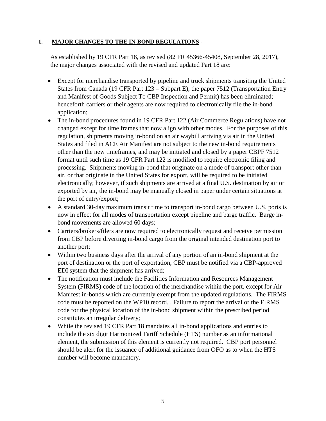#### <span id="page-4-0"></span>**1. MAJOR CHANGES TO THE IN-BOND REGULATIONS** -

As established by 19 CFR Part 18, as revised (82 FR 45366-45408, September 28, 2017), the major changes associated with the revised and updated Part 18 are:

- Except for merchandise transported by pipeline and truck shipments transiting the United States from Canada (19 CFR Part 123 – Subpart E), the paper 7512 (Transportation Entry and Manifest of Goods Subject To CBP Inspection and Permit) has been eliminated; henceforth carriers or their agents are now required to electronically file the in-bond application;
- The in-bond procedures found in 19 CFR Part 122 (Air Commerce Regulations) have not changed except for time frames that now align with other modes. For the purposes of this regulation, shipments moving in-bond on an air waybill arriving via air in the United States and filed in ACE Air Manifest are not subject to the new in-bond requirements other than the new timeframes, and may be initiated and closed by a paper CBPF 7512 format until such time as 19 CFR Part 122 is modified to require electronic filing and processing. Shipments moving in-bond that originate on a mode of transport other than air, or that originate in the United States for export, will be required to be initiated electronically; however, if such shipments are arrived at a final U.S. destination by air or exported by air, the in-bond may be manually closed in paper under certain situations at the port of entry/export;
- A standard 30-day maximum transit time to transport in-bond cargo between U.S. ports is now in effect for all modes of transportation except pipeline and barge traffic. Barge inbond movements are allowed 60 days;
- Carriers/brokers/filers are now required to electronically request and receive permission from CBP before diverting in-bond cargo from the original intended destination port to another port;
- Within two business days after the arrival of any portion of an in-bond shipment at the port of destination or the port of exportation, CBP must be notified via a CBP-approved EDI system that the shipment has arrived;
- The notification must include the Facilities Information and Resources Management System (FIRMS) code of the location of the merchandise within the port, except for Air Manifest in-bonds which are currently exempt from the updated regulations. The FIRMS code must be reported on the WP10 record. . Failure to report the arrival or the FIRMS code for the physical location of the in-bond shipment within the prescribed period constitutes an irregular delivery;
- While the revised 19 CFR Part 18 mandates all in-bond applications and entries to include the six digit Harmonized Tariff Schedule (HTS) number as an informational element, the submission of this element is currently not required. CBP port personnel should be alert for the issuance of additional guidance from OFO as to when the HTS number will become mandatory.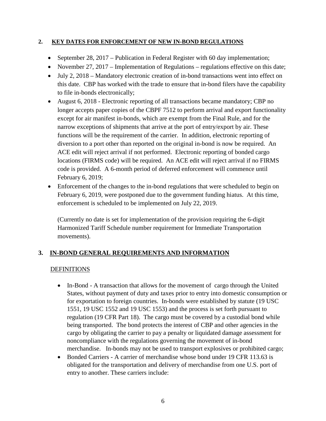#### <span id="page-5-0"></span>**2. KEY DATES FOR ENFORCEMENT OF NEW IN-BOND REGULATIONS**

- September 28, 2017 Publication in Federal Register with 60 day implementation;
- November 27, 2017 Implementation of Regulations regulations effective on this date;
- July 2, 2018 Mandatory electronic creation of in-bond transactions went into effect on this date. CBP has worked with the trade to ensure that in-bond filers have the capability to file in-bonds electronically;
- August 6, 2018 Electronic reporting of all transactions became mandatory; CBP no longer accepts paper copies of the CBPF 7512 to perform arrival and export functionality except for air manifest in-bonds, which are exempt from the Final Rule, and for the narrow exceptions of shipments that arrive at the port of entry/export by air. These functions will be the requirement of the carrier. In addition, electronic reporting of diversion to a port other than reported on the original in-bond is now be required. An ACE edit will reject arrival if not performed. Electronic reporting of bonded cargo locations (FIRMS code) will be required. An ACE edit will reject arrival if no FIRMS code is provided. A 6-month period of deferred enforcement will commence until February 6, 2019;
- Enforcement of the changes to the in-bond regulations that were scheduled to begin on February 6, 2019, were postponed due to the government funding hiatus. At this time, enforcement is scheduled to be implemented on July 22, 2019.

(Currently no date is set for implementation of the provision requiring the 6-digit Harmonized Tariff Schedule number requirement for Immediate Transportation movements).

#### <span id="page-5-1"></span>**3. IN-BOND GENERAL REQUIREMENTS AND INFORMATION**

#### DEFINITIONS

- In-Bond A transaction that allows for the movement of cargo through the United States, without payment of duty and taxes prior to entry into domestic consumption or for exportation to foreign countries. In-bonds were established by statute (19 USC 1551, 19 USC 1552 and 19 USC 1553) and the process is set forth pursuant to regulation (19 CFR Part 18). The cargo must be covered by a custodial bond while being transported. The bond protects the interest of CBP and other agencies in the cargo by obligating the carrier to pay a penalty or liquidated damage assessment for noncompliance with the regulations governing the movement of in-bond merchandise. In-bonds may not be used to transport explosives or prohibited cargo;
- Bonded Carriers A carrier of merchandise whose bond under 19 CFR 113.63 is obligated for the transportation and delivery of merchandise from one U.S. port of entry to another. These carriers include: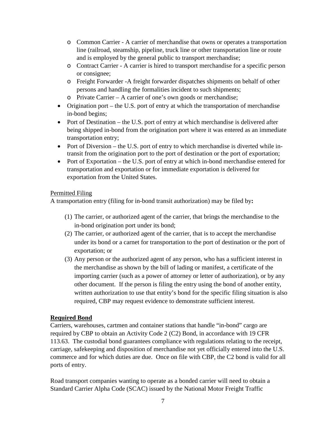- o Common Carrier A carrier of merchandise that owns or operates a transportation line (railroad, steamship, pipeline, truck line or other transportation line or route and is employed by the general public to transport merchandise;
- o Contract Carrier A carrier is hired to transport merchandise for a specific person or consignee;
- o Freight Forwarder -A freight forwarder dispatches shipments on behalf of other persons and handling the formalities incident to such shipments;
- o Private Carrier A carrier of one's own goods or merchandise;
- Origination port the U.S. port of entry at which the transportation of merchandise in-bond begins;
- Port of Destination the U.S. port of entry at which merchandise is delivered after being shipped in-bond from the origination port where it was entered as an immediate transportation entry;
- Port of Diversion the U.S. port of entry to which merchandise is diverted while intransit from the origination port to the port of destination or the port of exportation;
- Port of Exportation the U.S. port of entry at which in-bond merchandise entered for transportation and exportation or for immediate exportation is delivered for exportation from the United States.

#### Permitted Filing

A transportation entry (filing for in-bond transit authorization) may be filed by**:**

- (1) The carrier, or authorized agent of the carrier, that brings the merchandise to the in-bond origination port under its bond;
- (2) The carrier, or authorized agent of the carrier, that is to accept the merchandise under its bond or a carnet for transportation to the port of destination or the port of exportation; or
- (3) Any person or the authorized agent of any person, who has a sufficient interest in the merchandise as shown by the bill of lading or manifest, a certificate of the importing carrier (such as a power of attorney or letter of authorization), or by any other document. If the person is filing the entry using the bond of another entity, written authorization to use that entity's bond for the specific filing situation is also required, CBP may request evidence to demonstrate sufficient interest.

#### **Required Bond**

Carriers, warehouses, cartmen and container stations that handle "in-bond" cargo are required by CBP to obtain an Activity Code 2 (C2) Bond, in accordance with 19 CFR 113.63. The custodial bond guarantees compliance with regulations relating to the receipt, carriage, safekeeping and disposition of merchandise not yet officially entered into the U.S. commerce and for which duties are due. Once on file with CBP, the C2 bond is valid for all ports of entry.

Road transport companies wanting to operate as a bonded carrier will need to obtain a Standard Carrier Alpha Code (SCAC) issued by the National Motor Freight Traffic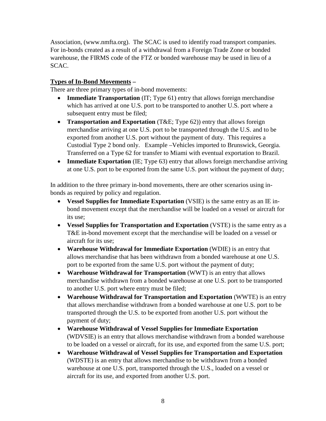Association, (www.nmfta.org). The SCAC is used to identify road transport companies. For in-bonds created as a result of a withdrawal from a Foreign Trade Zone or bonded warehouse, the FIRMS code of the FTZ or bonded warehouse may be used in lieu of a SCAC.

#### **Types of In-Bond Movements –**

There are three primary types of in-bond movements:

- **Immediate Transportation** (IT; Type 61) entry that allows foreign merchandise which has arrived at one U.S. port to be transported to another U.S. port where a subsequent entry must be filed;
- **Transportation and Exportation** (T&E; Type 62)) entry that allows foreign merchandise arriving at one U.S. port to be transported through the U.S. and to be exported from another U.S. port without the payment of duty. This requires a Custodial Type 2 bond only. Example –Vehicles imported to Brunswick, Georgia. Transferred on a Type 62 for transfer to Miami with eventual exportation to Brazil.
- **Immediate Exportation** (IE; Type 63) entry that allows foreign merchandise arriving at one U.S. port to be exported from the same U.S. port without the payment of duty;

In addition to the three primary in-bond movements, there are other scenarios using inbonds as required by policy and regulation.

- **Vessel Supplies for Immediate Exportation** (VSIE) is the same entry as an IE inbond movement except that the merchandise will be loaded on a vessel or aircraft for its use;
- **Vessel Supplies for Transportation and Exportation** (VSTE) is the same entry as a T&E in-bond movement except that the merchandise will be loaded on a vessel or aircraft for its use;
- **Warehouse Withdrawal for Immediate Exportation** (WDIE) is an entry that allows merchandise that has been withdrawn from a bonded warehouse at one U.S. port to be exported from the same U.S. port without the payment of duty;
- **Warehouse Withdrawal for Transportation** (WWT) is an entry that allows merchandise withdrawn from a bonded warehouse at one U.S. port to be transported to another U.S. port where entry must be filed;
- **Warehouse Withdrawal for Transportation and Exportation** (WWTE) is an entry that allows merchandise withdrawn from a bonded warehouse at one U.S. port to be transported through the U.S. to be exported from another U.S. port without the payment of duty;
- **Warehouse Withdrawal of Vessel Supplies for Immediate Exportation** (WDVSIE) is an entry that allows merchandise withdrawn from a bonded warehouse to be loaded on a vessel or aircraft, for its use, and exported from the same U.S. port;
- **Warehouse Withdrawal of Vessel Supplies for Transportation and Exportation** (WDSTE) is an entry that allows merchandise to be withdrawn from a bonded warehouse at one U.S. port, transported through the U.S., loaded on a vessel or aircraft for its use, and exported from another U.S. port.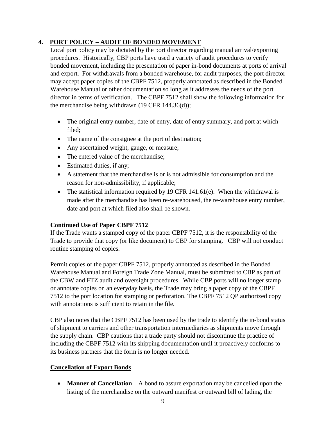#### <span id="page-8-0"></span>**4. PORT POLICY – AUDIT OF BONDED MOVEMENT**

Local port policy may be dictated by the port director regarding manual arrival/exporting procedures. Historically, CBP ports have used a variety of audit procedures to verify bonded movement, including the presentation of paper in-bond documents at ports of arrival and export. For withdrawals from a bonded warehouse, for audit purposes, the port director may accept paper copies of the CBPF 7512, properly annotated as described in the Bonded Warehouse Manual or other documentation so long as it addresses the needs of the port director in terms of verification. The CBPF 7512 shall show the following information for the merchandise being withdrawn (19 CFR 144.36(d));

- The original entry number, date of entry, date of entry summary, and port at which filed;
- The name of the consignee at the port of destination;
- Any ascertained weight, gauge, or measure;
- The entered value of the merchandise;
- Estimated duties, if any;
- A statement that the merchandise is or is not admissible for consumption and the reason for non-admissibility, if applicable;
- The statistical information required by 19 CFR 141.61(e). When the withdrawal is made after the merchandise has been re-warehoused, the re-warehouse entry number, date and port at which filed also shall be shown.

#### **Continued Use of Paper CBPF 7512**

If the Trade wants a stamped copy of the paper CBPF 7512, it is the responsibility of the Trade to provide that copy (or like document) to CBP for stamping. CBP will not conduct routine stamping of copies.

Permit copies of the paper CBPF 7512, properly annotated as described in the Bonded Warehouse Manual and Foreign Trade Zone Manual, must be submitted to CBP as part of the CBW and FTZ audit and oversight procedures. While CBP ports will no longer stamp or annotate copies on an everyday basis, the Trade may bring a paper copy of the CBPF 7512 to the port location for stamping or perforation. The CBPF 7512 QP authorized copy with annotations is sufficient to retain in the file.

CBP also notes that the CBPF 7512 has been used by the trade to identify the in-bond status of shipment to carriers and other transportation intermediaries as shipments move through the supply chain. CBP cautions that a trade party should not discontinue the practice of including the CBPF 7512 with its shipping documentation until it proactively conforms to its business partners that the form is no longer needed.

#### **Cancellation of Export Bonds**

• **Manner of Cancellation** – A bond to assure exportation may be cancelled upon the listing of the merchandise on the outward manifest or outward bill of lading, the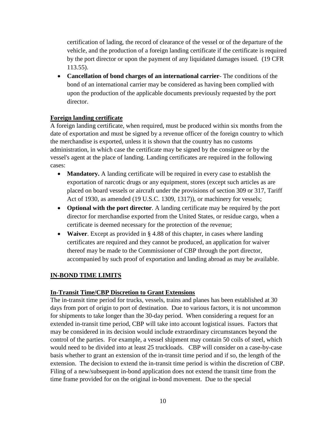certification of lading, the record of clearance of the vessel or of the departure of the vehicle, and the production of a foreign landing certificate if the certificate is required by the port director or upon the payment of any liquidated damages issued. (19 CFR 113.55).

• **Cancellation of bond charges of an international carrier**- The conditions of the bond of an international carrier may be considered as having been complied with upon the production of the applicable documents previously requested by the port director.

#### **Foreign landing certificate**

A foreign landing certificate, when required, must be produced within six months from the date of exportation and must be signed by a revenue officer of the foreign country to which the merchandise is exported, unless it is shown that the country has no customs administration, in which case the certificate may be signed by the consignee or by the vessel's agent at the place of landing. Landing certificates are required in the following cases:

- **Mandatory.** A landing certificate will be required in every case to establish the exportation of narcotic drugs or any equipment, stores (except such articles as are placed on board vessels or aircraft under the provisions of section 309 or 317, Tariff Act of 1930, as amended (19 U.S.C. 1309, 1317)), or machinery for vessels;
- **Optional with the port director**. A landing certificate may be required by the port director for merchandise exported from the United States, or residue cargo, when a certificate is deemed necessary for the protection of the revenue;
- **Waiver**. Except as provided in § 4.88 of this chapter, in cases where landing certificates are required and they cannot be produced, an application for waiver thereof may be made to the Commissioner of CBP through the port director, accompanied by such proof of exportation and landing abroad as may be available.

#### **IN-BOND TIME LIMITS**

#### **In-Transit Time/CBP Discretion to Grant Extensions**

The in-transit time period for trucks, vessels, trains and planes has been established at 30 days from port of origin to port of destination. Due to various factors, it is not uncommon for shipments to take longer than the 30-day period. When considering a request for an extended in-transit time period, CBP will take into account logistical issues. Factors that may be considered in its decision would include extraordinary circumstances beyond the control of the parties. For example, a vessel shipment may contain 50 coils of steel, which would need to be divided into at least 25 truckloads. CBP will consider on a case-by-case basis whether to grant an extension of the in-transit time period and if so, the length of the extension. The decision to extend the in-transit time period is within the discretion of CBP. Filing of a new/subsequent in-bond application does not extend the transit time from the time frame provided for on the original in-bond movement. Due to the special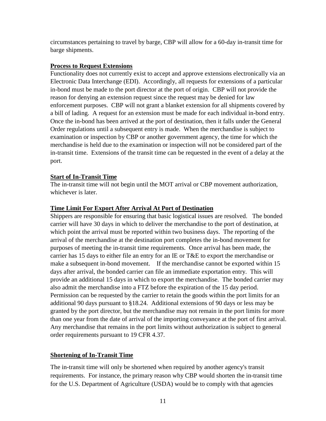circumstances pertaining to travel by barge, CBP will allow for a 60-day in-transit time for barge shipments.

#### **Process to Request Extensions**

Functionality does not currently exist to accept and approve extensions electronically via an Electronic Data Interchange (EDI). Accordingly, all requests for extensions of a particular in-bond must be made to the port director at the port of origin. CBP will not provide the reason for denying an extension request since the request may be denied for law enforcement purposes. CBP will not grant a blanket extension for all shipments covered by a bill of lading. A request for an extension must be made for each individual in-bond entry. Once the in-bond has been arrived at the port of destination, then it falls under the General Order regulations until a subsequent entry is made. When the merchandise is subject to examination or inspection by CBP or another government agency, the time for which the merchandise is held due to the examination or inspection will not be considered part of the in-transit time. Extensions of the transit time can be requested in the event of a delay at the port.

#### **Start of In-Transit Time**

The in-transit time will not begin until the MOT arrival or CBP movement authorization, whichever is later.

#### **Time Limit For Export After Arrival At Port of Destination**

Shippers are responsible for ensuring that basic logistical issues are resolved. The bonded carrier will have 30 days in which to deliver the merchandise to the port of destination, at which point the arrival must be reported within two business days. The reporting of the arrival of the merchandise at the destination port completes the in-bond movement for purposes of meeting the in-transit time requirements. Once arrival has been made, the carrier has 15 days to either file an entry for an IE or T&E to export the merchandise or make a subsequent in-bond movement. If the merchandise cannot be exported within 15 days after arrival, the bonded carrier can file an immediate exportation entry. This will provide an additional 15 days in which to export the merchandise. The bonded carrier may also admit the merchandise into a FTZ before the expiration of the 15 day period. Permission can be requested by the carrier to retain the goods within the port limits for an additional 90 days pursuant to §18.24. Additional extensions of 90 days or less may be granted by the port director, but the merchandise may not remain in the port limits for more than one year from the date of arrival of the importing conveyance at the port of first arrival. Any merchandise that remains in the port limits without authorization is subject to general order requirements pursuant to 19 CFR 4.37.

#### **Shortening of In-Transit Time**

The in-transit time will only be shortened when required by another agency's transit requirements. For instance, the primary reason why CBP would shorten the in-transit time for the U.S. Department of Agriculture (USDA) would be to comply with that agencies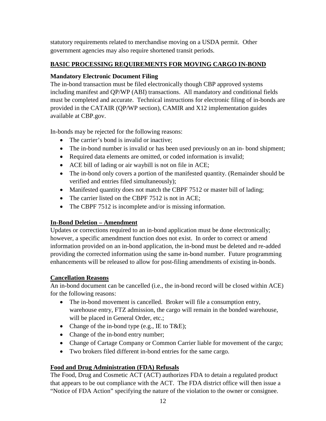statutory requirements related to merchandise moving on a USDA permit. Other government agencies may also require shortened transit periods.

#### **BASIC PROCESSING REQUIREMENTS FOR MOVING CARGO IN-BOND**

#### **Mandatory Electronic Document Filing**

The in-bond transaction must be filed electronically though CBP approved systems including manifest and QP/WP (ABI) transactions. All mandatory and conditional fields must be completed and accurate. Technical instructions for electronic filing of in-bonds are provided in the CATAIR (QP/WP section), CAMIR and X12 implementation guides available at CBP.gov.

In-bonds may be rejected for the following reasons:

- The carrier's bond is invalid or inactive;
- The in-bond number is invalid or has been used previously on an in- bond shipment;
- Required data elements are omitted, or coded information is invalid;
- ACE bill of lading or air waybill is not on file in ACE;
- The in-bond only covers a portion of the manifested quantity. (Remainder should be verified and entries filed simultaneously);
- Manifested quantity does not match the CBPF 7512 or master bill of lading;
- The carrier listed on the CBPF 7512 is not in ACE;
- The CBPF 7512 is incomplete and/or is missing information.

#### **In-Bond Deletion – Amendment**

Updates or corrections required to an in-bond application must be done electronically; however, a specific amendment function does not exist. In order to correct or amend information provided on an in-bond application, the in-bond must be deleted and re-added providing the corrected information using the same in-bond number. Future programming enhancements will be released to allow for post-filing amendments of existing in-bonds.

#### **Cancellation Reasons**

An in-bond document can be cancelled (i.e., the in-bond record will be closed within ACE) for the following reasons:

- The in-bond movement is cancelled. Broker will file a consumption entry, warehouse entry, FTZ admission, the cargo will remain in the bonded warehouse, will be placed in General Order, etc.;
- Change of the in-bond type (e.g., IE to T&E);
- Change of the in-bond entry number;
- Change of Cartage Company or Common Carrier liable for movement of the cargo;
- Two brokers filed different in-bond entries for the same cargo.

#### **Food and Drug Administration (FDA) Refusals**

The Food, Drug and Cosmetic ACT (ACT) authorizes FDA to detain a regulated product that appears to be out compliance with the ACT. The FDA district office will then issue a "Notice of FDA Action" specifying the nature of the violation to the owner or consignee.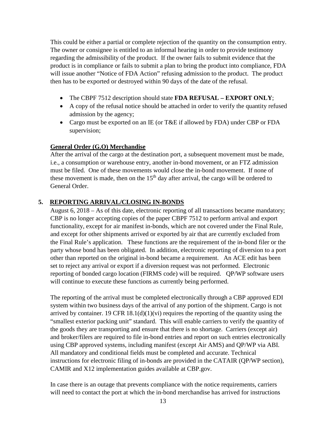This could be either a partial or complete rejection of the quantity on the consumption entry. The owner or consignee is entitled to an informal hearing in order to provide testimony regarding the admissibility of the product. If the owner fails to submit evidence that the product is in compliance or fails to submit a plan to bring the product into compliance, FDA will issue another "Notice of FDA Action" refusing admission to the product. The product then has to be exported or destroyed within 90 days of the date of the refusal.

- The CBPF 7512 description should state **FDA REFUSAL – EXPORT ONLY**;
- A copy of the refusal notice should be attached in order to verify the quantity refused admission by the agency;
- Cargo must be exported on an IE (or T&E if allowed by FDA) under CBP or FDA supervision;

#### **General Order (G.O) Merchandise**

After the arrival of the cargo at the destination port, a subsequent movement must be made, i.e., a consumption or warehouse entry, another in-bond movement, or an FTZ admission must be filed. One of these movements would close the in-bond movement. If none of these movement is made, then on the  $15<sup>th</sup>$  day after arrival, the cargo will be ordered to General Order.

#### <span id="page-12-0"></span>**5. REPORTING ARRIVAL/CLOSING IN-BONDS**

August 6, 2018 – As of this date, electronic reporting of all transactions became mandatory; CBP is no longer accepting copies of the paper CBPF 7512 to perform arrival and export functionality, except for air manifest in-bonds, which are not covered under the Final Rule, and except for other shipments arrived or exported by air that are currently excluded from the Final Rule's application. These functions are the requirement of the in-bond filer or the party whose bond has been obligated. In addition, electronic reporting of diversion to a port other than reported on the original in-bond became a requirement. An ACE edit has been set to reject any arrival or export if a diversion request was not performed. Electronic reporting of bonded cargo location (FIRMS code) will be required. QP/WP software users will continue to execute these functions as currently being performed.

The reporting of the arrival must be completed electronically through a CBP approved EDI system within two business days of the arrival of any portion of the shipment. Cargo is not arrived by container. 19 CFR  $18.1(d)(1)(vi)$  requires the reporting of the quantity using the "smallest exterior packing unit" standard. This will enable carriers to verify the quantity of the goods they are transporting and ensure that there is no shortage. Carriers (except air) and broker/filers are required to file in-bond entries and report on such entries electronically using CBP approved systems, including manifest (except Air AMS) and QP/WP via ABI. All mandatory and conditional fields must be completed and accurate. Technical instructions for electronic filing of in-bonds are provided in the CATAIR (QP/WP section), CAMIR and X12 implementation guides available at CBP.gov.

In case there is an outage that prevents compliance with the notice requirements, carriers will need to contact the port at which the in-bond merchandise has arrived for instructions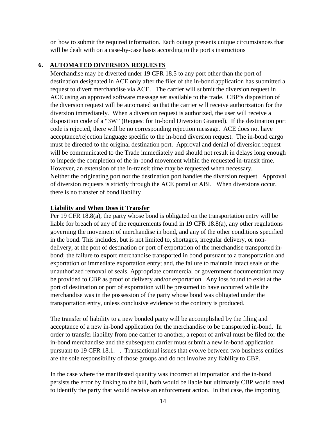on how to submit the required information. Each outage presents unique circumstances that will be dealt with on a case-by-case basis according to the port's instructions

#### <span id="page-13-0"></span>**6. AUTOMATED DIVERSION REQUESTS**

Merchandise may be diverted under 19 CFR 18.5 to any port other than the port of destination designated in ACE only after the filer of the in-bond application has submitted a request to divert merchandise via ACE. The carrier will submit the diversion request in ACE using an approved software message set available to the trade. CBP's disposition of the diversion request will be automated so that the carrier will receive authorization for the diversion immediately. When a diversion request is authorized, the user will receive a disposition code of a "3W" (Request for In-bond Diversion Granted). If the destination port code is rejected, there will be no corresponding rejection message. ACE does not have acceptance/rejection language specific to the in-bond diversion request. The in-bond cargo must be directed to the original destination port. Approval and denial of diversion request will be communicated to the Trade immediately and should not result in delays long enough to impede the completion of the in-bond movement within the requested in-transit time. However, an extension of the in-transit time may be requested when necessary. Neither the originating port nor the destination port handles the diversion request. Approval of diversion requests is strictly through the ACE portal or ABI. When diversions occur, there is no transfer of bond liability

#### **Liability and When Does it Transfer**

Per 19 CFR 18.8(a), the party whose bond is obligated on the transportation entry will be liable for breach of any of the requirements found in 19 CFR 18.8(a), any other regulations governing the movement of merchandise in bond, and any of the other conditions specified in the bond. This includes, but is not limited to, shortages, irregular delivery, or nondelivery, at the port of destination or port of exportation of the merchandise transported inbond; the failure to export merchandise transported in bond pursuant to a transportation and exportation or immediate exportation entry; and, the failure to maintain intact seals or the unauthorized removal of seals. Appropriate commercial or government documentation may be provided to CBP as proof of delivery and/or exportation. Any loss found to exist at the port of destination or port of exportation will be presumed to have occurred while the merchandise was in the possession of the party whose bond was obligated under the transportation entry, unless conclusive evidence to the contrary is produced.

The transfer of liability to a new bonded party will be accomplished by the filing and acceptance of a new in-bond application for the merchandise to be transported in-bond. In order to transfer liability from one carrier to another, a report of arrival must be filed for the in-bond merchandise and the subsequent carrier must submit a new in-bond application pursuant to 19 CFR 18.1. . Transactional issues that evolve between two business entities are the sole responsibility of those groups and do not involve any liability to CBP.

In the case where the manifested quantity was incorrect at importation and the in-bond persists the error by linking to the bill, both would be liable but ultimately CBP would need to identify the party that would receive an enforcement action. In that case, the importing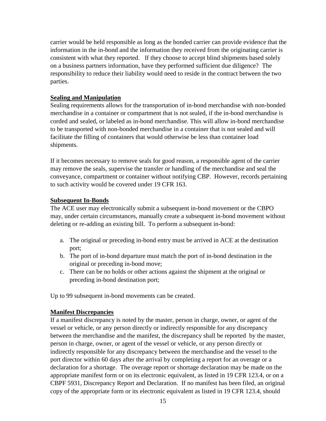carrier would be held responsible as long as the bonded carrier can provide evidence that the information in the in-bond and the information they received from the originating carrier is consistent with what they reported. If they choose to accept blind shipments based solely on a business partners information, have they performed sufficient due diligence? The responsibility to reduce their liability would need to reside in the contract between the two parties.

#### **Sealing and Manipulation**

Sealing requirements allows for the transportation of in-bond merchandise with non-bonded merchandise in a container or compartment that is not sealed, if the in-bond merchandise is corded and sealed, or labeled as in-bond merchandise. This will allow in-bond merchandise to be transported with non-bonded merchandise in a container that is not sealed and will facilitate the filling of containers that would otherwise be less than container load shipments.

If it becomes necessary to remove seals for good reason, a responsible agent of the carrier may remove the seals, supervise the transfer or handling of the merchandise and seal the conveyance, compartment or container without notifying CBP. However, records pertaining to such activity would be covered under 19 CFR 163.

#### **Subsequent In-Bonds**

The ACE user may electronically submit a subsequent in-bond movement or the CBPO may, under certain circumstances, manually create a subsequent in-bond movement without deleting or re-adding an existing bill. To perform a subsequent in-bond:

- a. The original or preceding in-bond entry must be arrived in ACE at the destination port;
- b. The port of in-bond departure must match the port of in-bond destination in the original or preceding in-bond move;
- c. There can be no holds or other actions against the shipment at the original or preceding in-bond destination port;

Up to 99 subsequent in-bond movements can be created.

#### **Manifest Discrepancies**

If a manifest discrepancy is noted by the master, person in charge, owner, or agent of the vessel or vehicle, or any person directly or indirectly responsible for any discrepancy between the merchandise and the manifest, the discrepancy shall be reported by the master, person in charge, owner, or agent of the vessel or vehicle, or any person directly or indirectly responsible for any discrepancy between the merchandise and the vessel to the port director within 60 days after the arrival by completing a report for an overage or a declaration for a shortage. The overage report or shortage declaration may be made on the appropriate manifest form or on its electronic equivalent, as listed in 19 CFR 123.4, or on a CBPF 5931, Discrepancy Report and Declaration. If no manifest has been filed, an original copy of the appropriate form or its electronic equivalent as listed in 19 CFR 123.4, should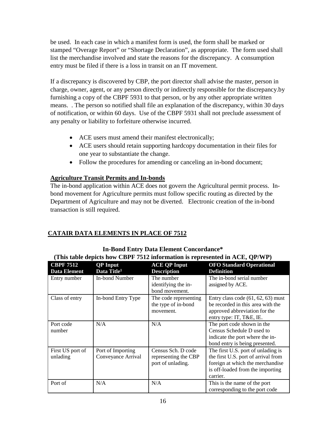be used. In each case in which a manifest form is used, the form shall be marked or stamped "Overage Report" or "Shortage Declaration", as appropriate. The form used shall list the merchandise involved and state the reasons for the discrepancy. A consumption entry must be filed if there is a loss in transit on an IT movement.

If a discrepancy is discovered by CBP, the port director shall advise the master, person in charge, owner, agent, or any person directly or indirectly responsible for the discrepancy.by furnishing a copy of the CBPF 5931 to that person, or by any other appropriate written means. . The person so notified shall file an explanation of the discrepancy, within 30 days of notification, or within 60 days. Use of the CBPF 5931 shall not preclude assessment of any penalty or liability to forfeiture otherwise incurred.

- ACE users must amend their manifest electronically;
- ACE users should retain supporting hardcopy documentation in their files for one year to substantiate the change.
- Follow the procedures for amending or canceling an in-bond document;

#### **Agriculture Transit Permits and In-bonds**

The in-bond application within ACE does not govern the Agricultural permit process. Inbond movement for Agriculture permits must follow specific routing as directed by the Department of Agriculture and may not be diverted. Electronic creation of the in-bond transaction is still required.

#### **CATAIR DATA ELEMENTS IN PLACE OF 7512**

| $\lambda$ , this table depicts now CDTT $\beta$ , $\beta$ is a might matrix is represented in $\Delta$ CE, QT $\beta$ or $\beta$ |                                            |                                                                 |                                                                                                                                                               |  |
|----------------------------------------------------------------------------------------------------------------------------------|--------------------------------------------|-----------------------------------------------------------------|---------------------------------------------------------------------------------------------------------------------------------------------------------------|--|
| <b>CBPF 7512</b><br><b>Data Element</b>                                                                                          | <b>QP</b> Input<br>Data Title <sup>1</sup> | <b>ACE QP Input</b><br><b>Description</b>                       | <b>OFO Standard Operational</b><br><b>Definition</b>                                                                                                          |  |
| Entry number                                                                                                                     | <b>In-bond Number</b>                      | The number<br>identifying the in-<br>bond movement.             | The in-bond serial number<br>assigned by ACE.                                                                                                                 |  |
| Class of entry                                                                                                                   | In-bond Entry Type                         | The code representing<br>the type of in-bond<br>movement.       | Entry class code $(61, 62, 63)$ must<br>be recorded in this area with the<br>approved abbreviation for the<br>entry type: IT, T&E, IE.                        |  |
| Port code<br>number                                                                                                              | N/A                                        | N/A                                                             | The port code shown in the<br>Census Schedule D used to<br>indicate the port where the in-<br>bond entry is being presented.                                  |  |
| First US port of<br>unlading                                                                                                     | Port of Importing<br>Conveyance Arrival    | Census Sch. D code<br>representing the CBP<br>port of unlading. | The first U.S. port of unlading is<br>the first U.S. port of arrival from<br>foreign at which the merchandise<br>is off-loaded from the importing<br>carrier. |  |
| Port of                                                                                                                          | N/A                                        | N/A                                                             | This is the name of the port<br>corresponding to the port code                                                                                                |  |

#### **In-Bond Entry Data Element Concordance\* (This table depicts how CBPF 7512 information is represented in ACE, QP/WP)**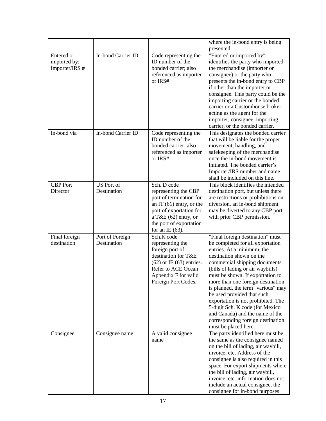|                                              |                                  |                                                                                                                                                                                                   | where the in-bond entry is being                                                                                                                                                                                                                                                                                                                                                                                                                                                                                            |
|----------------------------------------------|----------------------------------|---------------------------------------------------------------------------------------------------------------------------------------------------------------------------------------------------|-----------------------------------------------------------------------------------------------------------------------------------------------------------------------------------------------------------------------------------------------------------------------------------------------------------------------------------------------------------------------------------------------------------------------------------------------------------------------------------------------------------------------------|
|                                              |                                  |                                                                                                                                                                                                   | presented.                                                                                                                                                                                                                                                                                                                                                                                                                                                                                                                  |
| Entered or<br>imported by;<br>Importer/IRS # | In-bond Carrier ID               | Code representing the<br>ID number of the<br>bonded carrier; also<br>referenced as importer<br>or IRS#                                                                                            | "Entered or imported by"<br>identifies the party who imported<br>the merchandise (importer or<br>consignee) or the party who<br>presents the in-bond entry to CBP<br>if other than the importer or<br>consignee. This party could be the<br>importing carrier or the bonded<br>carrier or a Customhouse broker<br>acting as the agent for the<br>importer, consignee, importing<br>carrier, or the bonded carrier.                                                                                                          |
| In-bond via                                  | In-bond Carrier ID               | Code representing the<br>ID number of the<br>bonded carrier; also<br>referenced as importer<br>or IRS#                                                                                            | This designates the bonded carrier<br>that will be liable for the proper<br>movement, handling, and<br>safekeeping of the merchandise<br>once the in-bond movement is<br>initiated. The bonded carrier's<br>Importer/IRS number and name<br>shall be included on this line.                                                                                                                                                                                                                                                 |
| <b>CBP</b> Port<br>Director                  | <b>US</b> Port of<br>Destination | Sch. D code<br>representing the CBP<br>port of termination for<br>an $IT(61)$ entry, or the<br>port of exportation for<br>a T&E $(62)$ entry, or<br>the port of exportation<br>for an IE $(63)$ . | This block identifies the intended<br>destination port, but unless there<br>are restrictions or prohibitions on<br>diversion, an in-bond shipment<br>may be diverted to any CBP port<br>with prior CBP permission.                                                                                                                                                                                                                                                                                                          |
| Final foreign<br>destination                 | Port of Foreign<br>Destination   | Sch.K code<br>representing the<br>foreign port of<br>destination for T&E<br>$(62)$ or IE $(63)$ entries.<br>Refer to ACE Ocean<br>Appendix F for valid<br>Foreign Port Codes.                     | "Final foreign destination" must<br>be completed for all exportation<br>entries. At a minimum, the<br>destination shown on the<br>commercial shipping documents<br>(bills of lading or air waybills)<br>must be shown. If exportation to<br>more than one foreign destination<br>is planned, the term "various" may<br>be used provided that such<br>exportation is not prohibited. The<br>5-digit Sch. K code (for Mexico)<br>and Canada) and the name of the<br>corresponding foreign destination<br>must be placed here. |
| Consignee                                    | Consignee name                   | A valid consignee<br>name                                                                                                                                                                         | The party identified here must be<br>the same as the consignee named<br>on the bill of lading, air waybill,<br>invoice, etc. Address of the<br>consignee is also required in this<br>space. For export shipments where<br>the bill of lading, air waybill,<br>invoice, etc. information does not<br>include an actual consignee, the<br>consignee for in-bond purposes                                                                                                                                                      |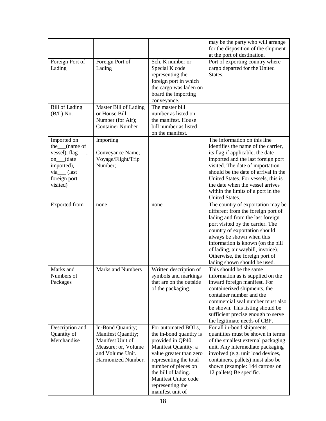|                                                                                                                                  |                                                                                                                              |                                                                                                                                                                                                                                                                | may be the party who will arrange<br>for the disposition of the shipment<br>at the port of destination.                                                                                                                                                                                                                                                             |
|----------------------------------------------------------------------------------------------------------------------------------|------------------------------------------------------------------------------------------------------------------------------|----------------------------------------------------------------------------------------------------------------------------------------------------------------------------------------------------------------------------------------------------------------|---------------------------------------------------------------------------------------------------------------------------------------------------------------------------------------------------------------------------------------------------------------------------------------------------------------------------------------------------------------------|
| Foreign Port of<br>Lading                                                                                                        | Foreign Port of<br>Lading                                                                                                    | Sch. K number or<br>Special K code<br>representing the<br>foreign port in which<br>the cargo was laden on<br>board the importing<br>conveyance.                                                                                                                | Port of exporting country where<br>cargo departed for the United<br>States.                                                                                                                                                                                                                                                                                         |
| <b>Bill of Lading</b><br>$(B/L)$ No.                                                                                             | Master Bill of Lading<br>or House Bill<br>Number (for Air);<br><b>Container Number</b>                                       | The master bill<br>number as listed on<br>the manifest. House<br>bill number as listed<br>on the manifest.                                                                                                                                                     |                                                                                                                                                                                                                                                                                                                                                                     |
| Imported on<br>the <sub>____</sub> (name of<br>vessel), flag_<br>on_(date<br>imported),<br>via_(last<br>foreign port<br>visited) | Importing<br>Conveyance Name;<br>Voyage/Flight/Trip<br>Number:                                                               |                                                                                                                                                                                                                                                                | The information on this line<br>identifies the name of the carrier,<br>its flag if applicable, the date<br>imported and the last foreign port<br>visited. The date of importation<br>should be the date of arrival in the<br>United States. For vessels, this is<br>the date when the vessel arrives<br>within the limits of a port in the<br><b>United States.</b> |
| <b>Exported</b> from                                                                                                             | none                                                                                                                         | none                                                                                                                                                                                                                                                           | The country of exportation may be<br>different from the foreign port of<br>lading and from the last foreign<br>port visited by the carrier. The<br>country of exportation should<br>always be shown when this<br>information is known (on the bill<br>of lading, air waybill, invoice).<br>Otherwise, the foreign port of<br>lading shown should be used.           |
| Marks and<br>Numbers of<br>Packages                                                                                              | <b>Marks and Numbers</b>                                                                                                     | Written description of<br>symbols and markings<br>that are on the outside<br>of the packaging.                                                                                                                                                                 | This should be the same<br>information as is supplied on the<br>inward foreign manifest. For<br>containerized shipments, the<br>container number and the<br>commercial seal number must also<br>be shown. This listing should be<br>sufficient precise enough to serve<br>the legitimate needs of CBP.                                                              |
| Description and<br>Quantity of<br>Merchandise                                                                                    | In-Bond Quantity;<br>Manifest Quantity;<br>Manifest Unit of<br>Measure; or, Volume<br>and Volume Unit.<br>Harmonized Number. | For automated BOLs,<br>the in-bond quantity is<br>provided in QP40.<br>Manifest Quantity: a<br>value greater than zero<br>representing the total<br>number of pieces on<br>the bill of lading.<br>Manifest Units: code<br>representing the<br>manifest unit of | For all in-bond shipments,<br>quantities must be shown in terms<br>of the smallest external packaging<br>unit. Any intermediate packaging<br>involved (e.g. unit load devices,<br>containers, pallets) must also be<br>shown (example: 144 cartons on<br>12 pallets) Be specific.                                                                                   |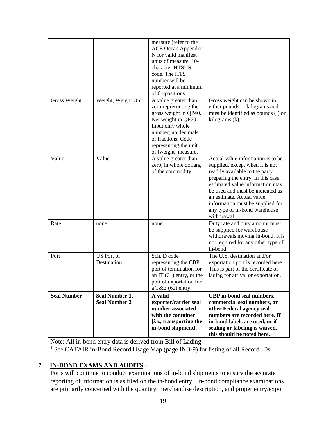|                    |                                        | measure (refer to the<br><b>ACE Ocean Appendix</b><br>N for valid manifest<br>units of measure. 10-<br>character HTSUS<br>code. The HTS<br>number will be<br>reported at a minimum<br>of 6-positions.           |                                                                                                                                                                                                                                                                                                                                      |
|--------------------|----------------------------------------|-----------------------------------------------------------------------------------------------------------------------------------------------------------------------------------------------------------------|--------------------------------------------------------------------------------------------------------------------------------------------------------------------------------------------------------------------------------------------------------------------------------------------------------------------------------------|
| Gross Weight       | Weight, Weight Unit                    | A value greater than<br>zero representing the<br>gross weight in QP40.<br>Net weight in QP70.<br>Input only whole<br>number; no decimals<br>or fractions. Code<br>representing the unit<br>of [weight] measure. | Gross weight can be shown in<br>either pounds or kilograms and<br>must be identified as pounds (l) or<br>kilograms (k).                                                                                                                                                                                                              |
| Value              | Value                                  | A value greater than<br>zero, in whole dollars,<br>of the commodity.                                                                                                                                            | Actual value information is to be<br>supplied, except when it is not<br>readily available to the party<br>preparing the entry. In this case,<br>estimated value information may<br>be used and must be indicated as<br>an estimate. Actual value<br>information must be supplied for<br>any type of in-bond warehouse<br>withdrawal. |
| Rate               | none                                   | none                                                                                                                                                                                                            | Duty rate and duty amount must<br>be supplied for warehouse<br>withdrawals moving in-bond. It is<br>not required for any other type of<br>in-bond.                                                                                                                                                                                   |
| Port               | <b>US</b> Port of<br>Destination       | Sch. D code<br>representing the CBP<br>port of termination for<br>an $IT(61)$ entry, or the<br>port of exportation for<br>a T&E $(62)$ entry,                                                                   | The U.S. destination and/or<br>exportation port is recorded here.<br>This is part of the certificate of<br>lading for arrival or exportation.                                                                                                                                                                                        |
| <b>Seal Number</b> | Seal Number 1,<br><b>Seal Number 2</b> | A valid<br>exporter/carrier seal<br>number associated<br>with the container<br>[i.e., transporting the<br>in-bond shipment].                                                                                    | CBP in-bond seal numbers,<br>commercial seal numbers, or<br>other Federal agency seal<br>numbers are recorded here. If<br>in-bond labels are used, or if<br>sealing or labeling is waived,<br>this should be noted here.                                                                                                             |

Note: All in-bond entry data is derived from Bill of Lading.

<sup>1</sup> See CATAIR in-Bond Record Usage Map (page INB-9) for listing of all Record IDs

#### <span id="page-18-0"></span>**7. IN-BOND EXAMS AND AUDITS –**

Ports will continue to conduct examinations of in-bond shipments to ensure the accurate reporting of information is as filed on the in-bond entry. In-bond compliance examinations are primarily concerned with the quantity, merchandise description, and proper entry/export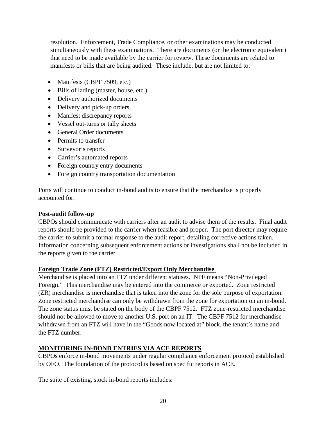resolution. Enforcement, Trade Compliance, or other examinations may be conducted simultaneously with these examinations. There are documents (or the electronic equivalent) that need to be made available by the carrier for review. These documents are related to manifests or bills that are being audited. These include, but are not limited to:

- Manifests (CBPF 7509, etc.)
- Bills of lading (master, house, etc.)
- Delivery authorized documents
- Delivery and pick-up orders
- Manifest discrepancy reports
- Vessel out-turns or tally sheets
- General Order documents
- Permits to transfer
- Surveyor's reports
- Carrier's automated reports
- Foreign country entry documents
- Foreign country transportation documentation

Ports will continue to conduct in-bond audits to ensure that the merchandise is properly accounted for.

#### **Post-audit follow-up**

CBPOs should communicate with carriers after an audit to advise them of the results. Final audit reports should be provided to the carrier when feasible and proper. The port director may require the carrier to submit a formal response to the audit report, detailing corrective actions taken. Information concerning subsequent enforcement actions or investigations shall not be included in the reports given to the carrier.

#### **Foreign Trade Zone (FTZ) Restricted/Export Only Merchandise**.

Merchandise is placed into an FTZ under different statuses. NPF means "Non-Privileged Foreign." This merchandise may be entered into the commerce or exported. Zone restricted (ZR) merchandise is merchandise that is taken into the zone for the sole purpose of exportation. Zone restricted merchandise can only be withdrawn from the zone for exportation on an in-bond. The zone status must be stated on the body of the CBPF 7512. FTZ zone-restricted merchandise should not be allowed to move to another U.S. port on an IT. The CBPF 7512 for merchandise withdrawn from an FTZ will have in the "Goods now located at" block, the tenant's name and the FTZ number.

#### **MONITORING IN-BOND ENTRIES VIA ACE REPORTS**

CBPOs enforce in-bond movements under regular compliance enforcement protocol established by OFO. The foundation of the protocol is based on specific reports in ACE.

The suite of existing, stock in-bond reports includes: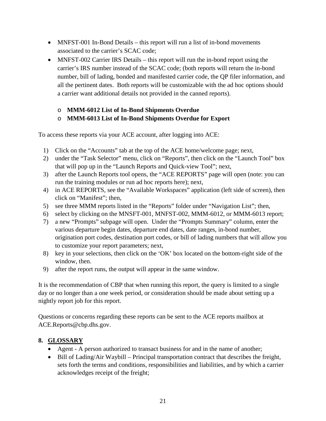- MNFST-001 In-Bond Details this report will run a list of in-bond movements associated to the carrier's SCAC code;
- MNFST-002 Carrier IRS Details this report will run the in-bond report using the carrier's IRS number instead of the SCAC code; (both reports will return the in-bond number, bill of lading, bonded and manifested carrier code, the QP filer information, and all the pertinent dates. Both reports will be customizable with the ad hoc options should a carrier want additional details not provided in the canned reports).

#### o **MMM-6012 List of In-Bond Shipments Overdue**

#### o **MMM-6013 List of In-Bond Shipments Overdue for Export**

To access these reports via your ACE account, after logging into ACE:

- 1) Click on the "Accounts" tab at the top of the ACE home/welcome page; next,
- 2) under the "Task Selector" menu, click on "Reports", then click on the "Launch Tool" box that will pop up in the "Launch Reports and Quick-view Tool"; next,
- 3) after the Launch Reports tool opens, the "ACE REPORTS" page will open (note: you can run the training modules or run ad hoc reports here); next,
- 4) in ACE REPORTS, see the "Available Workspaces" application (left side of screen), then click on "Manifest"; then,
- 5) see three MMM reports listed in the "Reports" folder under "Navigation List"; then,
- 6) select by clicking on the MNSFT-001, MNFST-002, MMM-6012, or MMM-6013 report;
- 7) a new "Prompts" subpage will open. Under the "Prompts Summary" column, enter the various departure begin dates, departure end dates, date ranges, in-bond number, origination port codes, destination port codes, or bill of lading numbers that will allow you to customize your report parameters; next,
- 8) key in your selections, then click on the 'OK' box located on the bottom-right side of the window, then.
- 9) after the report runs, the output will appear in the same window.

It is the recommendation of CBP that when running this report, the query is limited to a single day or no longer than a one week period, or consideration should be made about setting up a nightly report job for this report.

Questions or concerns regarding these reports can be sent to the ACE reports mailbox at ACE.Reports@cbp.dhs.gov.

#### <span id="page-20-0"></span>**8. GLOSSARY**

- Agent A person authorized to transact business for and in the name of another;
- Bill of Lading/Air Waybill Principal transportation contract that describes the freight, sets forth the terms and conditions, responsibilities and liabilities, and by which a carrier acknowledges receipt of the freight;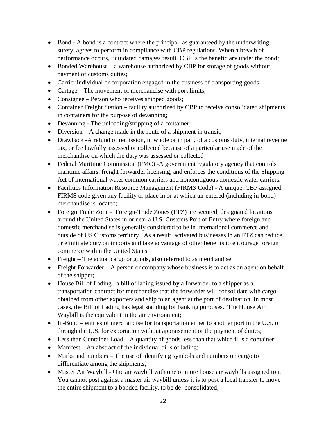- Bond A bond is a contract where the principal, as guaranteed by the underwriting surety, agrees to perform in compliance with CBP regulations. When a breach of performance occurs, liquidated damages result. CBP is the beneficiary under the bond;
- Bonded Warehouse a warehouse authorized by CBP for storage of goods without payment of customs duties;
- Carrier Individual or corporation engaged in the business of transporting goods.
- Cartage The movement of merchandise with port limits;
- Consignee Person who receives shipped goods;
- Container Freight Station facility authorized by CBP to receive consolidated shipments in containers for the purpose of devanning;
- Devanning The unloading/stripping of a container;
- Diversion A change made in the route of a shipment in transit;
- Drawback -A refund or remission, in whole or in part, of a customs duty, internal revenue tax, or fee lawfully assessed or collected because of a particular use made of the merchandise on which the duty was assessed or collected
- Federal Maritime Commission (FMC) -A government regulatory agency that controls maritime affairs, freight forwarder licensing, and enforces the conditions of the Shipping Act of international water common carriers and noncontiguous domestic water carriers.
- Facilities Information Resource Management (FIRMS Code) A unique, CBP assigned FIRMS code given any facility or place in or at which un-entered (including in-bond) merchandise is located;
- Foreign Trade Zone Foreign-Trade Zones (FTZ) are secured, designated locations around the United States in or near a U.S. Customs Port of Entry where foreign and domestic merchandise is generally considered to be in international commerce and outside of US Customs territory. As a result, activated businesses in an FTZ can reduce or eliminate duty on imports and take advantage of other benefits to encourage foreign commerce within the United States.
- Freight The actual cargo or goods, also referred to as merchandise;
- Freight Forwarder A person or company whose business is to act as an agent on behalf of the shipper;
- House Bill of Lading –a bill of lading issued by a forwarder to a shipper as a transportation contract for merchandise that the forwarder will consolidate with cargo obtained from other exporters and ship to an agent at the port of destination. In most cases, the Bill of Lading has legal standing for banking purposes. The House Air Waybill is the equivalent in the air environment;
- In-Bond entries of merchandise for transportation either to another port in the U.S. or through the U.S. for exportation without appraisement or the payment of duties;
- Less than Container Load A quantity of goods less than that which fills a container;
- Manifest An abstract of the individual bills of lading;
- Marks and numbers The use of identifying symbols and numbers on cargo to differentiate among the shipments;
- Master Air Waybill One air waybill with one or more house air waybills assigned to it. You cannot post against a master air waybill unless it is to post a local transfer to move the entire shipment to a bonded facility. to be de- consolidated;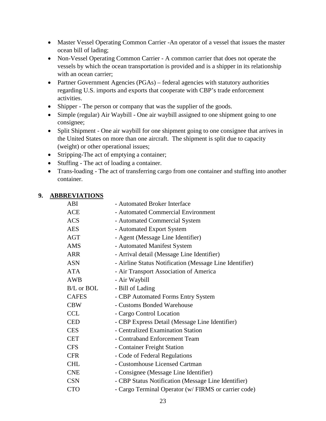- Master Vessel Operating Common Carrier -An operator of a vessel that issues the master ocean bill of lading;
- Non-Vessel Operating Common Carrier A common carrier that does not operate the vessels by which the ocean transportation is provided and is a shipper in its relationship with an ocean carrier;
- Partner Government Agencies (PGAs) federal agencies with statutory authorities regarding U.S. imports and exports that cooperate with CBP's trade enforcement activities.
- Shipper The person or company that was the supplier of the goods.
- Simple (regular) Air Waybill One air waybill assigned to one shipment going to one consignee;
- Split Shipment One air waybill for one shipment going to one consignee that arrives in the United States on more than one aircraft. The shipment is split due to capacity (weight) or other operational issues;
- Stripping-The act of emptying a container;
- Stuffing The act of loading a container.
- Trans-loading The act of transferring cargo from one container and stuffing into another container.

#### <span id="page-22-0"></span>**9. ABBREVIATIONS**

| ABI          | - Automated Broker Interface                            |
|--------------|---------------------------------------------------------|
| <b>ACE</b>   | - Automated Commercial Environment                      |
| <b>ACS</b>   | - Automated Commercial System                           |
| <b>AES</b>   | - Automated Export System                               |
| AGT          | - Agent (Message Line Identifier)                       |
| <b>AMS</b>   | - Automated Manifest System                             |
| ARR          | - Arrival detail (Message Line Identifier)              |
| <b>ASN</b>   | - Airline Status Notification (Message Line Identifier) |
| <b>ATA</b>   | - Air Transport Association of America                  |
| <b>AWB</b>   | - Air Waybill                                           |
| B/L or BOL   | - Bill of Lading                                        |
| <b>CAFES</b> | - CBP Automated Forms Entry System                      |
| <b>CBW</b>   | - Customs Bonded Warehouse                              |
| <b>CCL</b>   | - Cargo Control Location                                |
| <b>CED</b>   | - CBP Express Detail (Message Line Identifier)          |
| <b>CES</b>   | - Centralized Examination Station                       |
| <b>CET</b>   | - Contraband Enforcement Team                           |
| <b>CFS</b>   | - Container Freight Station                             |
| <b>CFR</b>   | - Code of Federal Regulations                           |
| <b>CHL</b>   | - Customhouse Licensed Cartman                          |
| <b>CNE</b>   | - Consignee (Message Line Identifier)                   |
| <b>CSN</b>   | - CBP Status Notification (Message Line Identifier)     |
| <b>CTO</b>   | - Cargo Terminal Operator (w/ FIRMS or carrier code)    |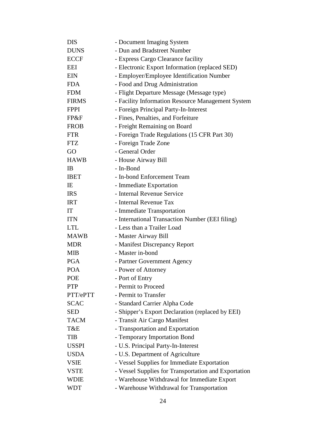| <b>DIS</b>   | - Document Imaging System                            |  |  |  |  |
|--------------|------------------------------------------------------|--|--|--|--|
| <b>DUNS</b>  | - Dun and Bradstreet Number                          |  |  |  |  |
| <b>ECCF</b>  | - Express Cargo Clearance facility                   |  |  |  |  |
| EEI          | - Electronic Export Information (replaced SED)       |  |  |  |  |
| <b>EIN</b>   | - Employer/Employee Identification Number            |  |  |  |  |
| <b>FDA</b>   | - Food and Drug Administration                       |  |  |  |  |
| <b>FDM</b>   | - Flight Departure Message (Message type)            |  |  |  |  |
| <b>FIRMS</b> | - Facility Information Resource Management System    |  |  |  |  |
| <b>FPPI</b>  | - Foreign Principal Party-In-Interest                |  |  |  |  |
| FP&F         | - Fines, Penalties, and Forfeiture                   |  |  |  |  |
| <b>FROB</b>  | - Freight Remaining on Board                         |  |  |  |  |
| <b>FTR</b>   | - Foreign Trade Regulations (15 CFR Part 30)         |  |  |  |  |
| <b>FTZ</b>   | - Foreign Trade Zone                                 |  |  |  |  |
| GO           | - General Order                                      |  |  |  |  |
| <b>HAWB</b>  | - House Airway Bill                                  |  |  |  |  |
| IB           | - In-Bond                                            |  |  |  |  |
| <b>IBET</b>  | - In-bond Enforcement Team                           |  |  |  |  |
| IE           | - Immediate Exportation                              |  |  |  |  |
| <b>IRS</b>   | - Internal Revenue Service                           |  |  |  |  |
| <b>IRT</b>   | - Internal Revenue Tax                               |  |  |  |  |
| IT           | - Immediate Transportation                           |  |  |  |  |
| <b>ITN</b>   | - International Transaction Number (EEI filing)      |  |  |  |  |
| <b>LTL</b>   | - Less than a Trailer Load                           |  |  |  |  |
| <b>MAWB</b>  | - Master Airway Bill                                 |  |  |  |  |
| <b>MDR</b>   | - Manifest Discrepancy Report                        |  |  |  |  |
| <b>MIB</b>   | - Master in-bond                                     |  |  |  |  |
| <b>PGA</b>   | - Partner Government Agency                          |  |  |  |  |
| <b>POA</b>   | - Power of Attorney                                  |  |  |  |  |
| <b>POE</b>   | - Port of Entry                                      |  |  |  |  |
| <b>PTP</b>   | - Permit to Proceed                                  |  |  |  |  |
| PTT/ePTT     | - Permit to Transfer                                 |  |  |  |  |
| <b>SCAC</b>  | - Standard Carrier Alpha Code                        |  |  |  |  |
| <b>SED</b>   | - Shipper's Export Declaration (replaced by EEI)     |  |  |  |  |
| <b>TACM</b>  | - Transit Air Cargo Manifest                         |  |  |  |  |
| T&E          | - Transportation and Exportation                     |  |  |  |  |
| <b>TIB</b>   | - Temporary Importation Bond                         |  |  |  |  |
| <b>USSPI</b> | - U.S. Principal Party-In-Interest                   |  |  |  |  |
| <b>USDA</b>  | - U.S. Department of Agriculture                     |  |  |  |  |
| VSIE         | - Vessel Supplies for Immediate Exportation          |  |  |  |  |
| <b>VSTE</b>  | - Vessel Supplies for Transportation and Exportation |  |  |  |  |
| WDIE         | - Warehouse Withdrawal for Immediate Export          |  |  |  |  |
| <b>WDT</b>   | - Warehouse Withdrawal for Transportation            |  |  |  |  |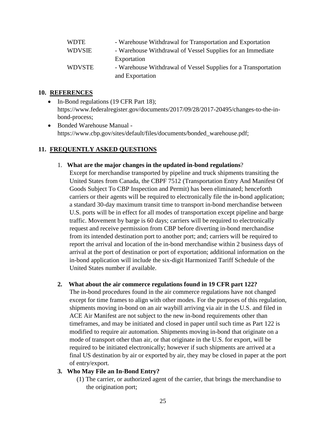| <b>WDTE</b>   | - Warehouse Withdrawal for Transportation and Exportation      |
|---------------|----------------------------------------------------------------|
| <b>WDVSIE</b> | - Warehouse Withdrawal of Vessel Supplies for an Immediate     |
|               | Exportation                                                    |
| <b>WDVSTE</b> | - Warehouse Withdrawal of Vessel Supplies for a Transportation |
|               | and Exportation                                                |

#### <span id="page-24-0"></span>**10. REFERENCES**

- In-Bond regulations (19 CFR Part 18); https://www.federalregister.gov/documents/2017/09/28/2017-20495/changes-to-the-inbond-process;
- Bonded Warehouse Manual https://www.cbp.gov/sites/default/files/documents/bonded\_warehouse.pdf;

#### <span id="page-24-1"></span>**11. FREQUENTLY ASKED QUESTIONS**

#### 1. **What are the major changes in the updated in-bond regulations**?

Except for merchandise transported by pipeline and truck shipments transiting the United States from Canada, the CBPF 7512 (Transportation Entry And Manifest Of Goods Subject To CBP Inspection and Permit) has been eliminated; henceforth carriers or their agents will be required to electronically file the in-bond application; a standard 30-day maximum transit time to transport in-bond merchandise between U.S. ports will be in effect for all modes of transportation except pipeline and barge traffic. Movement by barge is 60 days; carriers will be required to electronically request and receive permission from CBP before diverting in-bond merchandise from its intended destination port to another port; and; carriers will be required to report the arrival and location of the in-bond merchandise within 2 business days of arrival at the port of destination or port of exportation; additional information on the in-bond application will include the six-digit Harmonized Tariff Schedule of the United States number if available.

#### **2. What about the air commerce regulations found in 19 CFR part 122?**

The in-bond procedures found in the air commerce regulations have not changed except for time frames to align with other modes. For the purposes of this regulation, shipments moving in-bond on an air waybill arriving via air in the U.S. and filed in ACE Air Manifest are not subject to the new in-bond requirements other than timeframes, and may be initiated and closed in paper until such time as Part 122 is modified to require air automation. Shipments moving in-bond that originate on a mode of transport other than air, or that originate in the U.S. for export, will be required to be initiated electronically; however if such shipments are arrived at a final US destination by air or exported by air, they may be closed in paper at the port of entry/export.

#### **3. Who May File an In-Bond Entry?**

(1) The carrier, or authorized agent of the carrier, that brings the merchandise to the origination port;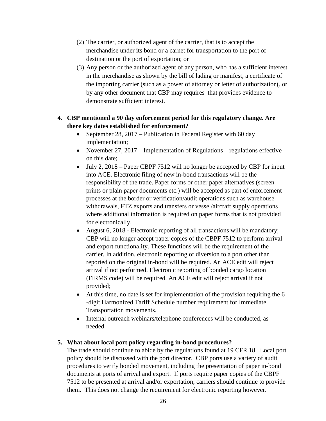- (2) The carrier, or authorized agent of the carrier, that is to accept the merchandise under its bond or a carnet for transportation to the port of destination or the port of exportation; or
- (3) Any person or the authorized agent of any person, who has a sufficient interest in the merchandise as shown by the bill of lading or manifest, a certificate of the importing carrier (such as a power of attorney or letter of authorization(, or by any other document that CBP may requires that provides evidence to demonstrate sufficient interest.

#### **4. CBP mentioned a 90 day enforcement period for this regulatory change. Are there key dates established for enforcement?**

- September 28, 2017 Publication in Federal Register with 60 day implementation;
- November 27, 2017 Implementation of Regulations regulations effective on this date;
- July 2, 2018 Paper CBPF 7512 will no longer be accepted by CBP for input into ACE. Electronic filing of new in-bond transactions will be the responsibility of the trade. Paper forms or other paper alternatives (screen prints or plain paper documents etc.) will be accepted as part of enforcement processes at the border or verification/audit operations such as warehouse withdrawals, FTZ exports and transfers or vessel/aircraft supply operations where additional information is required on paper forms that is not provided for electronically.
- August 6, 2018 Electronic reporting of all transactions will be mandatory; CBP will no longer accept paper copies of the CBPF 7512 to perform arrival and export functionality. These functions will be the requirement of the carrier. In addition, electronic reporting of diversion to a port other than reported on the original in-bond will be required. An ACE edit will reject arrival if not performed. Electronic reporting of bonded cargo location (FIRMS code) will be required. An ACE edit will reject arrival if not provided;
- At this time, no date is set for implementation of the provision requiring the 6 -digit Harmonized Tariff Schedule number requirement for Immediate Transportation movements.
- Internal outreach webinars/telephone conferences will be conducted, as needed.

#### **5. What about local port policy regarding in-bond procedures?**

The trade should continue to abide by the regulations found at 19 CFR 18. Local port policy should be discussed with the port director. CBP ports use a variety of audit procedures to verify bonded movement, including the presentation of paper in-bond documents at ports of arrival and export. If ports require paper copies of the CBPF 7512 to be presented at arrival and/or exportation, carriers should continue to provide them. This does not change the requirement for electronic reporting however.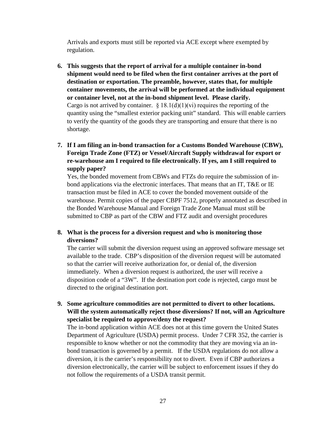Arrivals and exports must still be reported via ACE except where exempted by regulation.

- **6. This suggests that the report of arrival for a multiple container in-bond shipment would need to be filed when the first container arrives at the port of destination or exportation. The preamble, however, states that, for multiple container movements, the arrival will be performed at the individual equipment or container level, not at the in-bond shipment level. Please clarify.** Cargo is not arrived by container.  $\S 18.1(d)(1)(vi)$  requires the reporting of the quantity using the "smallest exterior packing unit" standard. This will enable carriers to verify the quantity of the goods they are transporting and ensure that there is no shortage.
- **7. If I am filing an in-bond transaction for a Customs Bonded Warehouse (CBW), Foreign Trade Zone (FTZ) or Vessel/Aircraft Supply withdrawal for export or re-warehouse am I required to file electronically. If yes, am I still required to supply paper?**

Yes, the bonded movement from CBWs and FTZs do require the submission of inbond applications via the electronic interfaces. That means that an IT, T&E or IE transaction must be filed in ACE to cover the bonded movement outside of the warehouse. Permit copies of the paper CBPF 7512, properly annotated as described in the Bonded Warehouse Manual and Foreign Trade Zone Manual must still be submitted to CBP as part of the CBW and FTZ audit and oversight procedures

#### **8. What is the process for a diversion request and who is monitoring those diversions?**

The carrier will submit the diversion request using an approved software message set available to the trade. CBP's disposition of the diversion request will be automated so that the carrier will receive authorization for, or denial of, the diversion immediately. When a diversion request is authorized, the user will receive a disposition code of a "3W". If the destination port code is rejected, cargo must be directed to the original destination port.

**9. Some agriculture commodities are not permitted to divert to other locations. Will the system automatically reject those diversions? If not, will an Agriculture specialist be required to approve/deny the request?**

The in-bond application within ACE does not at this time govern the United States Department of Agriculture (USDA) permit process. Under 7 CFR 352, the carrier is responsible to know whether or not the commodity that they are moving via an inbond transaction is governed by a permit. If the USDA regulations do not allow a diversion, it is the carrier's responsibility not to divert. Even if CBP authorizes a diversion electronically, the carrier will be subject to enforcement issues if they do not follow the requirements of a USDA transit permit.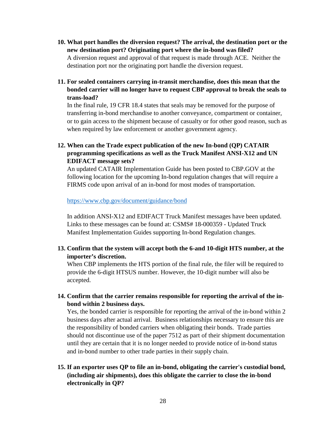- **10. What port handles the diversion request? The arrival, the destination port or the new destination port? Originating port where the in-bond was filed?** A diversion request and approval of that request is made through ACE. Neither the destination port nor the originating port handle the diversion request.
- **11. For sealed containers carrying in-transit merchandise, does this mean that the bonded carrier will no longer have to request CBP approval to break the seals to trans-load?**

In the final rule, 19 CFR 18.4 states that seals may be removed for the purpose of transferring in-bond merchandise to another conveyance, compartment or container, or to gain access to the shipment because of casualty or for other good reason, such as when required by law enforcement or another government agency.

**12. When can the Trade expect publication of the new In-bond (QP) CATAIR programming specifications as well as the Truck Manifest ANSI-X12 and UN EDIFACT message sets?**

An updated CATAIR Implementation Guide has been posted to CBP.GOV at the following location for the upcoming In-bond regulation changes that will require a FIRMS code upon arrival of an in-bond for most modes of transportation.

<https://www.cbp.gov/document/guidance/bond>

In addition ANSI-X12 and EDIFACT Truck Manifest messages have been updated. Links to these messages can be found at: CSMS# 18-000359 - Updated Truck Manifest Implementation Guides supporting In-bond Regulation changes.

**13. Confirm that the system will accept both the 6-and 10-digit HTS number, at the importer's discretion.**

When CBP implements the HTS portion of the final rule, the filer will be required to provide the 6-digit HTSUS number. However, the 10-digit number will also be accepted.

**14. Confirm that the carrier remains responsible for reporting the arrival of the inbond within 2 business days.** 

Yes, the bonded carrier is responsible for reporting the arrival of the in-bond within 2 business days after actual arrival. Business relationships necessary to ensure this are the responsibility of bonded carriers when obligating their bonds. Trade parties should not discontinue use of the paper 7512 as part of their shipment documentation until they are certain that it is no longer needed to provide notice of in-bond status and in-bond number to other trade parties in their supply chain.

**15. If an exporter uses QP to file an in-bond, obligating the carrier's custodial bond, (including air shipments), does this obligate the carrier to close the in-bond electronically in QP?**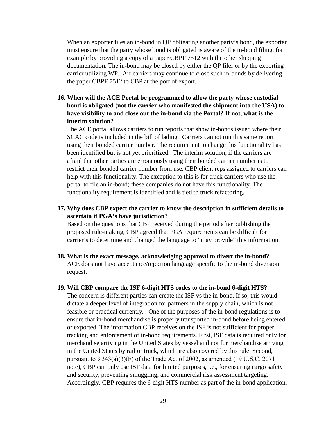When an exporter files an in-bond in QP obligating another party's bond, the exporter must ensure that the party whose bond is obligated is aware of the in-bond filing, for example by providing a copy of a paper CBPF 7512 with the other shipping documentation. The in-bond may be closed by either the QP filer or by the exporting carrier utilizing WP. Air carriers may continue to close such in-bonds by delivering the paper CBPF 7512 to CBP at the port of export.

#### **16. When will the ACE Portal be programmed to allow the party whose custodial bond is obligated (not the carrier who manifested the shipment into the USA) to have visibility to and close out the in-bond via the Portal? If not, what is the interim solution?**

The ACE portal allows carriers to run reports that show in-bonds issued where their SCAC code is included in the bill of lading. Carriers cannot run this same report using their bonded carrier number. The requirement to change this functionality has been identified but is not yet prioritized. The interim solution, if the carriers are afraid that other parties are erroneously using their bonded carrier number is to restrict their bonded carrier number from use. CBP client reps assigned to carriers can help with this functionality. The exception to this is for truck carriers who use the portal to file an in-bond; these companies do not have this functionality. The functionality requirement is identified and is tied to truck refactoring.

#### **17. Why does CBP expect the carrier to know the description in sufficient details to ascertain if PGA's have jurisdiction?**

Based on the questions that CBP received during the period after publishing the proposed rule-making, CBP agreed that PGA requirements can be difficult for carrier's to determine and changed the language to "may provide" this information.

**18. What is the exact message, acknowledging approval to divert the in-bond?** ACE does not have acceptance/rejection language specific to the in-bond diversion request.

#### **19. Will CBP compare the ISF 6-digit HTS codes to the in-bond 6-digit HTS?**

The concern is different parties can create the ISF vs the in-bond. If so, this would dictate a deeper level of integration for partners in the supply chain, which is not feasible or practical currently. One of the purposes of the in-bond regulations is to ensure that in-bond merchandise is properly transported in-bond before being entered or exported. The information CBP receives on the ISF is not sufficient for proper tracking and enforcement of in-bond requirements. First, ISF data is required only for merchandise arriving in the United States by vessel and not for merchandise arriving in the United States by rail or truck, which are also covered by this rule. Second, pursuant to § 343(a)(3)(F) of the Trade Act of 2002, as amended (19 U.S.C. 2071 note), CBP can only use ISF data for limited purposes, i.e., for ensuring cargo safety and security, preventing smuggling, and commercial risk assessment targeting. Accordingly, CBP requires the 6-digit HTS number as part of the in-bond application.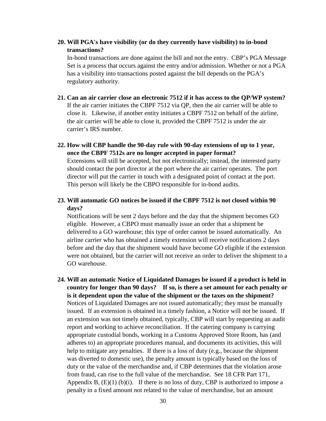#### **20. Will PGA's have visibility (or do they currently have visibility) to in-bond transactions?**

In-bond transactions are done against the bill and not the entry. CBP's PGA Message Set is a process that occurs against the entry and/or admission. Whether or not a PGA has a visibility into transactions posted against the bill depends on the PGA's regulatory authority.

- **21. Can an air carrier close an electronic 7512 if it has access to the QP/WP system?** If the air carrier initiates the CBPF 7512 via QP, then the air carrier will be able to close it. Likewise, if another entity initiates a CBPF 7512 on behalf of the airline, the air carrier will be able to close it, provided the CBPF 7512 is under the air carrier's IRS number.
- **22. How will CBP handle the 90-day rule with 90-day extensions of up to 1 year, once the CBPF 7512s are no longer accepted in paper format?**

Extensions will still be accepted, but not electronically; instead, the interested party should contact the port director at the port where the air carrier operates. The port director will put the carrier in touch with a designated point of contact at the port. This person will likely be the CBPO responsible for in-bond audits.

**23. Will automatic GO notices be issued if the CBPF 7512 is not closed within 90 days?** 

Notifications will be sent 2 days before and the day that the shipment becomes GO eligible. However, a CBPO must manually issue an order that a shipment be delivered to a GO warehouse; this type of order cannot be issued automatically. An airline carrier who has obtained a timely extension will receive notifications 2 days before and the day that the shipment would have become GO eligible if the extension were not obtained, but the carrier will not receive an order to deliver the shipment to a GO warehouse.

**24. Will an automatic Notice of Liquidated Damages be issued if a product is held in country for longer than 90 days? If so, is there a set amount for each penalty or is it dependent upon the value of the shipment or the taxes on the shipment?** Notices of Liquidated Damages are not issued automatically; they must be manually issued. If an extension is obtained in a timely fashion, a Notice will not be issued. If an extension was not timely obtained, typically, CBP will start by requesting an audit report and working to achieve reconciliation. If the catering company is carrying appropriate custodial bonds, working in a Customs Approved Store Room, has (and adheres to) an appropriate procedures manual, and documents its activities, this will help to mitigate any penalties. If there is a loss of duty (e.g., because the shipment was diverted to domestic use), the penalty amount is typically based on the loss of duty or the value of the merchandise and, if CBP determines that the violation arose from fraud, can rise to the full value of the merchandise. See 18 CFR Part 171, Appendix B,  $(E)(1)$  (b)(i). If there is no loss of duty, CBP is authorized to impose a penalty in a fixed amount not related to the value of merchandise, but an amount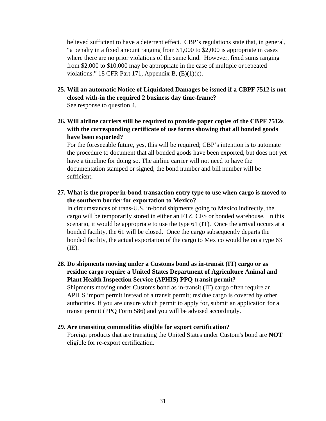believed sufficient to have a deterrent effect. CBP's regulations state that, in general, "a penalty in a fixed amount ranging from \$1,000 to \$2,000 is appropriate in cases where there are no prior violations of the same kind. However, fixed sums ranging from \$2,000 to \$10,000 may be appropriate in the case of multiple or repeated violations." 18 CFR Part 171, Appendix B,  $(E)(1)(c)$ .

- **25. Will an automatic Notice of Liquidated Damages be issued if a CBPF 7512 is not closed with-in the required 2 business day time-frame?**  See response to question 4.
- **26. Will airline carriers still be required to provide paper copies of the CBPF 7512s with the corresponding certificate of use forms showing that all bonded goods have been exported?**

For the foreseeable future, yes, this will be required; CBP's intention is to automate the procedure to document that all bonded goods have been exported, but does not yet have a timeline for doing so. The airline carrier will not need to have the documentation stamped or signed; the bond number and bill number will be sufficient.

**27. What is the proper in-bond transaction entry type to use when cargo is moved to the southern border for exportation to Mexico?**

In circumstances of trans-U.S. in-bond shipments going to Mexico indirectly, the cargo will be temporarily stored in either an FTZ, CFS or bonded warehouse. In this scenario, it would be appropriate to use the type 61 (IT). Once the arrival occurs at a bonded facility, the 61 will be closed. Once the cargo subsequently departs the bonded facility, the actual exportation of the cargo to Mexico would be on a type 63 (IE).

- **28. Do shipments moving under a Customs bond as in-transit (IT) cargo or as residue cargo require a United States Department of Agriculture Animal and Plant Health Inspection Service (APHIS) PPQ transit permit?**  Shipments moving under Customs bond as in-transit (IT) cargo often require an APHIS import permit instead of a transit permit; residue cargo is covered by other authorities. If you are unsure which permit to apply for, submit an application for a transit permit (PPQ Form 586) and you will be advised accordingly.
- **29. Are transiting commodities eligible for export certification?**

Foreign products that are transiting the United States under Custom's bond are **NOT** eligible for re-export certification.